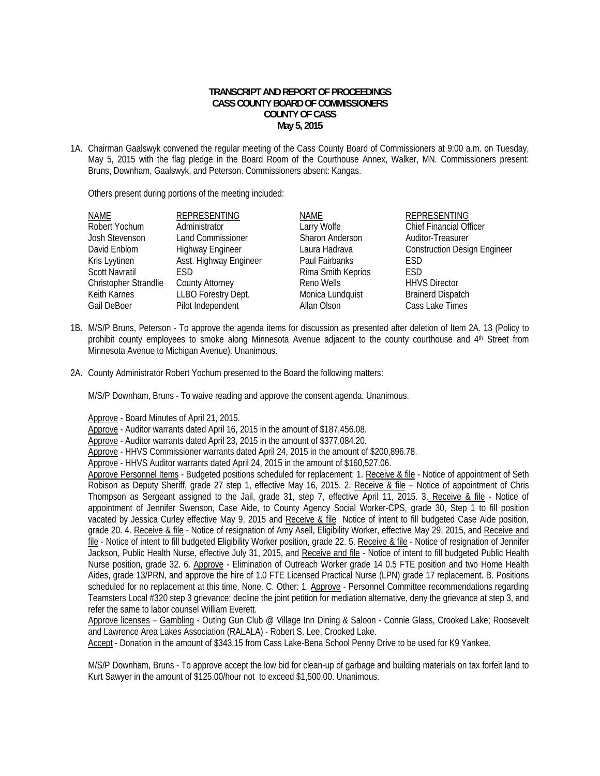## **TRANSCRIPT AND REPORT OF PROCEEDINGS CASS COUNTY BOARD OF COMMISSIONERS COUNTY OF CASS May 5, 2015**

1A. Chairman Gaalswyk convened the regular meeting of the Cass County Board of Commissioners at 9:00 a.m. on Tuesday, May 5, 2015 with the flag pledge in the Board Room of the Courthouse Annex, Walker, MN. Commissioners present: Bruns, Downham, Gaalswyk, and Peterson. Commissioners absent: Kangas.

Others present during portions of the meeting included:

| NAME                  | <b>REPRESENTING</b>      | NAME               | <b>REPRESENTING</b>                 |
|-----------------------|--------------------------|--------------------|-------------------------------------|
| Robert Yochum         | Administrator            | Larry Wolfe        | Chief Financial Officer             |
| Josh Stevenson        | <b>Land Commissioner</b> | Sharon Anderson    | Auditor-Treasurer                   |
| David Enblom          | <b>Highway Engineer</b>  | Laura Hadrava      | <b>Construction Design Engineer</b> |
| Kris Lyytinen         | Asst. Highway Engineer   | Paul Fairbanks     | <b>FSD</b>                          |
| <b>Scott Navratil</b> | <b>FSD</b>               | Rima Smith Keprios | <b>FSD</b>                          |
| Christopher Strandlie | <b>County Attorney</b>   | Reno Wells         | <b>HHVS Director</b>                |
| Keith Karnes          | LLBO Forestry Dept.      | Monica Lundquist   | <b>Brainerd Dispatch</b>            |
| Gail DeBoer           | Pilot Independent        | Allan Olson        | Cass Lake Times                     |
|                       |                          |                    |                                     |

- 1B. M/S/P Bruns, Peterson To approve the agenda items for discussion as presented after deletion of Item 2A. 13 (Policy to prohibit county employees to smoke along Minnesota Avenue adjacent to the county courthouse and 4th Street from Minnesota Avenue to Michigan Avenue). Unanimous.
- 2A. County Administrator Robert Yochum presented to the Board the following matters:

M/S/P Downham, Bruns - To waive reading and approve the consent agenda. Unanimous.

Approve - Board Minutes of April 21, 2015.

Approve - Auditor warrants dated April 16, 2015 in the amount of \$187,456.08.

Approve - Auditor warrants dated April 23, 2015 in the amount of \$377,084.20.

Approve - HHVS Commissioner warrants dated April 24, 2015 in the amount of \$200,896.78.

Approve - HHVS Auditor warrants dated April 24, 2015 in the amount of \$160,527.06.

Approve Personnel Items - Budgeted positions scheduled for replacement: 1. Receive & file - Notice of appointment of Seth Robison as Deputy Sheriff, grade 27 step 1, effective May 16, 2015. 2. Receive & file – Notice of appointment of Chris Thompson as Sergeant assigned to the Jail, grade 31, step 7, effective April 11, 2015. 3. Receive & file - Notice of appointment of Jennifer Swenson, Case Aide, to County Agency Social Worker-CPS, grade 30, Step 1 to fill position vacated by Jessica Curley effective May 9, 2015 and Receive & file Notice of intent to fill budgeted Case Aide position, grade 20. 4. Receive & file - Notice of resignation of Amy Asell, Eligibility Worker, effective May 29, 2015, and Receive and file - Notice of intent to fill budgeted Eligibility Worker position, grade 22. 5. Receive & file - Notice of resignation of Jennifer Jackson, Public Health Nurse, effective July 31, 2015, and Receive and file - Notice of intent to fill budgeted Public Health Nurse position, grade 32. 6. Approve - Elimination of Outreach Worker grade 14 0.5 FTE position and two Home Health Aides, grade 13/PRN, and approve the hire of 1.0 FTE Licensed Practical Nurse (LPN) grade 17 replacement. B. Positions scheduled for no replacement at this time. None. C. Other: 1. Approve - Personnel Committee recommendations regarding Teamsters Local #320 step 3 grievance: decline the joint petition for mediation alternative, deny the grievance at step 3, and refer the same to labor counsel William Everett.

Approve licenses – Gambling - Outing Gun Club @ Village Inn Dining & Saloon - Connie Glass, Crooked Lake; Roosevelt and Lawrence Area Lakes Association (RALALA) - Robert S. Lee, Crooked Lake.

Accept - Donation in the amount of \$343.15 from Cass Lake-Bena School Penny Drive to be used for K9 Yankee.

 M/S/P Downham, Bruns - To approve accept the low bid for clean-up of garbage and building materials on tax forfeit land to Kurt Sawyer in the amount of \$125.00/hour not to exceed \$1,500.00. Unanimous.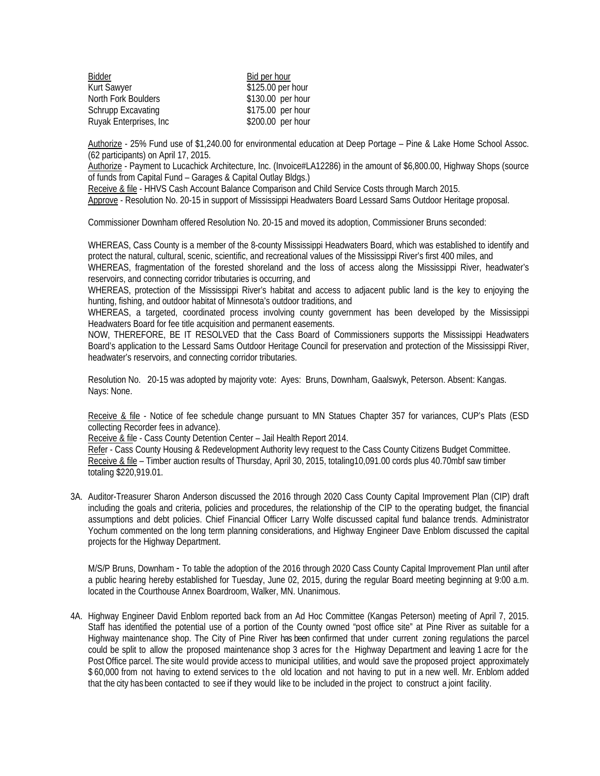| Bidder                    | Bid per hour      |
|---------------------------|-------------------|
| <b>Kurt Sawyer</b>        | \$125.00 per hour |
| North Fork Boulders       | \$130.00 per hour |
| <b>Schrupp Excavating</b> | \$175.00 per hour |
| Ruyak Enterprises, Inc.   | \$200.00 per hour |

 Authorize - 25% Fund use of \$1,240.00 for environmental education at Deep Portage – Pine & Lake Home School Assoc. (62 participants) on April 17, 2015.

 Authorize - Payment to Lucachick Architecture, Inc. (Invoice#LA12286) in the amount of \$6,800.00, Highway Shops (source of funds from Capital Fund – Garages & Capital Outlay Bldgs.)

Receive & file - HHVS Cash Account Balance Comparison and Child Service Costs through March 2015.

Approve - Resolution No. 20-15 in support of Mississippi Headwaters Board Lessard Sams Outdoor Heritage proposal.

Commissioner Downham offered Resolution No. 20-15 and moved its adoption, Commissioner Bruns seconded:

WHEREAS, Cass County is a member of the 8-county Mississippi Headwaters Board, which was established to identify and protect the natural, cultural, scenic, scientific, and recreational values of the Mississippi River's first 400 miles, and

WHEREAS, fragmentation of the forested shoreland and the loss of access along the Mississippi River, headwater's reservoirs, and connecting corridor tributaries is occurring, and

WHEREAS, protection of the Mississippi River's habitat and access to adjacent public land is the key to enjoying the hunting, fishing, and outdoor habitat of Minnesota's outdoor traditions, and

WHEREAS, a targeted, coordinated process involving county government has been developed by the Mississippi Headwaters Board for fee title acquisition and permanent easements.

NOW, THEREFORE, BE IT RESOLVED that the Cass Board of Commissioners supports the Mississippi Headwaters Board's application to the Lessard Sams Outdoor Heritage Council for preservation and protection of the Mississippi River, headwater's reservoirs, and connecting corridor tributaries.

Resolution No. 20-15 was adopted by majority vote: Ayes: Bruns, Downham, Gaalswyk, Peterson. Absent: Kangas. Nays: None.

 Receive & file - Notice of fee schedule change pursuant to MN Statues Chapter 357 for variances, CUP's Plats (ESD collecting Recorder fees in advance).

Receive & file - Cass County Detention Center – Jail Health Report 2014.

Refer - Cass County Housing & Redevelopment Authority levy request to the Cass County Citizens Budget Committee. Receive & file – Timber auction results of Thursday, April 30, 2015, totaling10,091.00 cords plus 40.70mbf saw timber totaling \$220,919.01.

3A. Auditor-Treasurer Sharon Anderson discussed the 2016 through 2020 Cass County Capital Improvement Plan (CIP) draft including the goals and criteria, policies and procedures, the relationship of the CIP to the operating budget, the financial assumptions and debt policies. Chief Financial Officer Larry Wolfe discussed capital fund balance trends. Administrator Yochum commented on the long term planning considerations, and Highway Engineer Dave Enblom discussed the capital projects for the Highway Department.

M/S/P Bruns, Downham - To table the adoption of the 2016 through 2020 Cass County Capital Improvement Plan until after a public hearing hereby established for Tuesday, June 02, 2015, during the regular Board meeting beginning at 9:00 a.m. located in the Courthouse Annex Boardroom, Walker, MN. Unanimous.

4A. Highway Engineer David Enblom reported back from an Ad Hoc Committee (Kangas Peterson) meeting of April 7, 2015. Staff has identified the potential use of a portion of the County owned "post office site" at Pine River as suitable for a Highway maintenance shop. The City of Pine River has been confirmed that under current zoning regulations the parcel could be split to allow the proposed maintenance shop 3 acres for the Highway Department and leaving 1 acre for the Post Office parcel. The site would provide access to municipal utilities, and would save the proposed project approximately \$60,000 from not having to extend services to the old location and not having to put in a new well. Mr. Enblom added that the city has been contacted to see if they would like to be included in the project to construct a joint facility.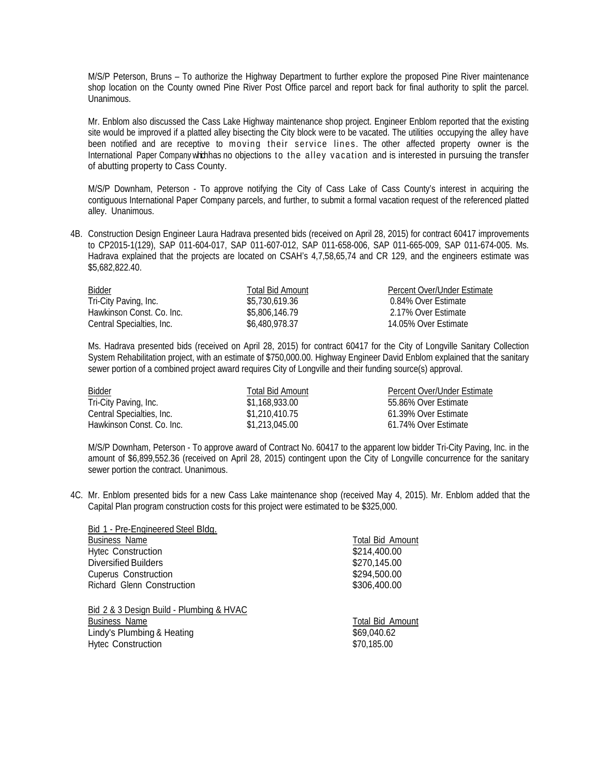M/S/P Peterson, Bruns – To authorize the Highway Department to further explore the proposed Pine River maintenance shop location on the County owned Pine River Post Office parcel and report back for final authority to split the parcel. Unanimous.

Mr. Enblom also discussed the Cass Lake Highway maintenance shop project. Engineer Enblom reported that the existing site would be improved if a platted alley bisecting the City block were to be vacated. The utilities occupying the alley have been notified and are receptive to moving their service lines. The other affected property owner is the International Paper Company which has no objections to the alley vacation and is interested in pursuing the transfer of abutting property to Cass County.

M/S/P Downham, Peterson - To approve notifying the City of Cass Lake of Cass County's interest in acquiring the contiguous International Paper Company parcels, and further, to submit a formal vacation request of the referenced platted alley. Unanimous.

4B. Construction Design Engineer Laura Hadrava presented bids (received on April 28, 2015) for contract 60417 improvements to CP2015-1(129), SAP 011-604-017, SAP 011-607-012, SAP 011-658-006, SAP 011-665-009, SAP 011-674-005. Ms. Hadrava explained that the projects are located on CSAH's 4,7,58,65,74 and CR 129, and the engineers estimate was \$5,682,822.40.

| Bidder                    | Total Bid Amount | Percent Over/Under Estimate |
|---------------------------|------------------|-----------------------------|
| Tri-City Paving, Inc.     | \$5,730,619.36   | 0.84% Over Estimate         |
| Hawkinson Const. Co. Inc. | \$5,806,146.79   | 2.17% Over Estimate         |
| Central Specialties, Inc. | \$6,480,978.37   | 14.05% Over Estimate        |

 Ms. Hadrava presented bids (received on April 28, 2015) for contract 60417 for the City of Longville Sanitary Collection System Rehabilitation project, with an estimate of \$750,000,00. Highway Engineer David Enblom explained that the sanitary sewer portion of a combined project award requires City of Longville and their funding source(s) approval.

| Bidder                    | Total Bid Amount | Percent Over/Under Estimate |
|---------------------------|------------------|-----------------------------|
| Tri-City Paving, Inc.     | \$1,168,933.00   | 55.86% Over Estimate        |
| Central Specialties, Inc. | \$1,210,410.75   | 61.39% Over Estimate        |
| Hawkinson Const. Co. Inc. | \$1,213,045,00   | 61.74% Over Estimate        |

M/S/P Downham, Peterson - To approve award of Contract No. 60417 to the apparent low bidder Tri-City Paving, Inc. in the amount of \$6,899,552.36 (received on April 28, 2015) contingent upon the City of Longville concurrence for the sanitary sewer portion the contract. Unanimous.

4C. Mr. Enblom presented bids for a new Cass Lake maintenance shop (received May 4, 2015). Mr. Enblom added that the Capital Plan program construction costs for this project were estimated to be \$325,000.

| Bid 1 - Pre-Engineered Steel Bldg.       |                  |
|------------------------------------------|------------------|
| <b>Business Name</b>                     | Total Bid Amount |
| <b>Hytec Construction</b>                | \$214,400.00     |
| <b>Diversified Builders</b>              | \$270,145.00     |
| <b>Cuperus Construction</b>              | \$294,500.00     |
| Richard Glenn Construction               | \$306,400.00     |
| Bid 2 & 3 Design Build - Plumbing & HVAC |                  |
| <b>Business Name</b>                     | Total Bid Amount |
| Lindy's Plumbing & Heating               | \$69,040.62      |
| <b>Hytec Construction</b>                | \$70,185.00      |
|                                          |                  |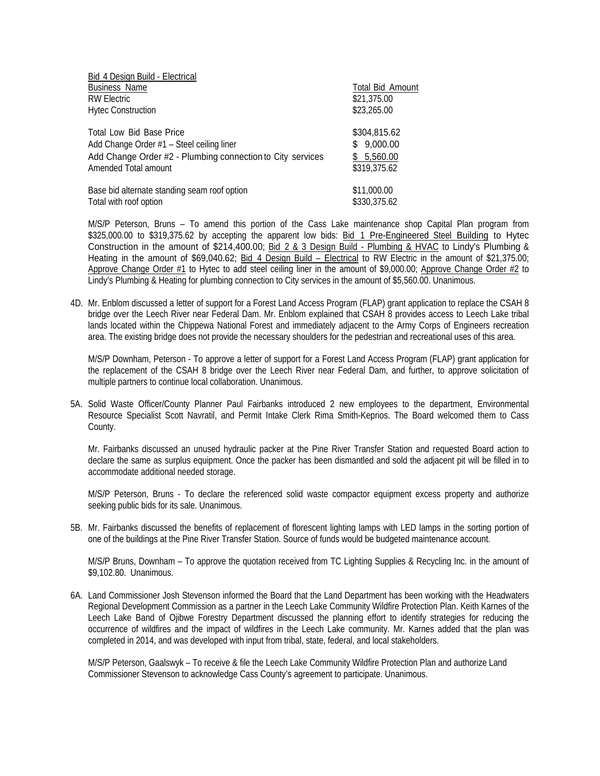| Bid 4 Design Build - Electrical                            |                         |
|------------------------------------------------------------|-------------------------|
| <b>Business Name</b>                                       | <b>Total Bid Amount</b> |
| <b>RW Electric</b>                                         | \$21,375.00             |
| <b>Hytec Construction</b>                                  | \$23,265.00             |
| Total Low Bid Base Price                                   | \$304,815.62            |
| Add Change Order #1 - Steel ceiling liner                  | \$9,000.00              |
| Add Change Order #2 - Plumbing connection to City services | \$5,560.00              |
| Amended Total amount                                       | \$319,375.62            |
| Base bid alternate standing seam roof option               | \$11,000.00             |
| Total with roof option                                     | \$330,375.62            |

M/S/P Peterson, Bruns – To amend this portion of the Cass Lake maintenance shop Capital Plan program from \$325,000.00 to \$319,375.62 by accepting the apparent low bids: Bid 1 Pre-Engineered Steel Building to Hytec Construction in the amount of \$214,400.00; Bid 2 & 3 Design Build - Plumbing & HVAC to Lindy's Plumbing & Heating in the amount of \$69,040.62; Bid 4 Design Build – Electrical to RW Electric in the amount of \$21,375.00; Approve Change Order #1 to Hytec to add steel ceiling liner in the amount of \$9,000.00; Approve Change Order #2 to Lindy's Plumbing & Heating for plumbing connection to City services in the amount of \$5,560.00. Unanimous.

4D. Mr. Enblom discussed a letter of support for a Forest Land Access Program (FLAP) grant application to replace the CSAH 8 bridge over the Leech River near Federal Dam. Mr. Enblom explained that CSAH 8 provides access to Leech Lake tribal lands located within the Chippewa National Forest and immediately adjacent to the Army Corps of Engineers recreation area. The existing bridge does not provide the necessary shoulders for the pedestrian and recreational uses of this area.

M/S/P Downham, Peterson - To approve a letter of support for a Forest Land Access Program (FLAP) grant application for the replacement of the CSAH 8 bridge over the Leech River near Federal Dam, and further, to approve solicitation of multiple partners to continue local collaboration. Unanimous.

5A. Solid Waste Officer/County Planner Paul Fairbanks introduced 2 new employees to the department, Environmental Resource Specialist Scott Navratil, and Permit Intake Clerk Rima Smith-Keprios. The Board welcomed them to Cass County.

Mr. Fairbanks discussed an unused hydraulic packer at the Pine River Transfer Station and requested Board action to declare the same as surplus equipment. Once the packer has been dismantled and sold the adjacent pit will be filled in to accommodate additional needed storage.

 M/S/P Peterson, Bruns - To declare the referenced solid waste compactor equipment excess property and authorize seeking public bids for its sale. Unanimous.

5B. Mr. Fairbanks discussed the benefits of replacement of florescent lighting lamps with LED lamps in the sorting portion of one of the buildings at the Pine River Transfer Station. Source of funds would be budgeted maintenance account.

M/S/P Bruns, Downham – To approve the quotation received from TC Lighting Supplies & Recycling Inc. in the amount of \$9,102.80. Unanimous.

6A. Land Commissioner Josh Stevenson informed the Board that the Land Department has been working with the Headwaters Regional Development Commission as a partner in the Leech Lake Community Wildfire Protection Plan. Keith Karnes of the Leech Lake Band of Ojibwe Forestry Department discussed the planning effort to identify strategies for reducing the occurrence of wildfires and the impact of wildfires in the Leech Lake community. Mr. Karnes added that the plan was completed in 2014, and was developed with input from tribal, state, federal, and local stakeholders.

M/S/P Peterson, Gaalswyk – To receive & file the Leech Lake Community Wildfire Protection Plan and authorize Land Commissioner Stevenson to acknowledge Cass County's agreement to participate. Unanimous.